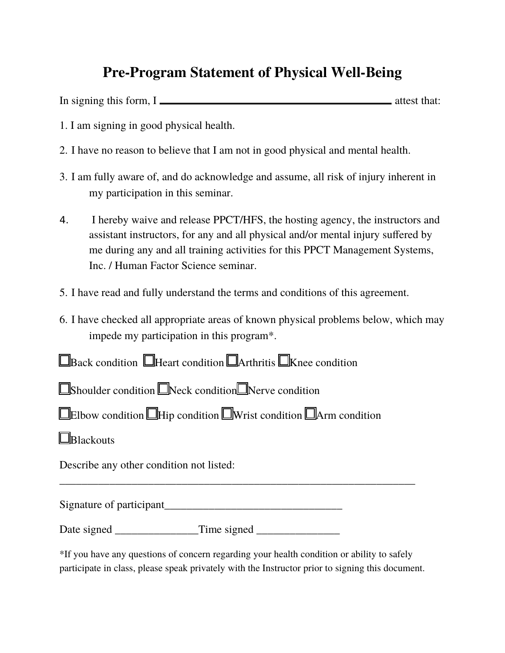## **Pre-Program Statement of Physical Well-Being**

In signing this form, I

- 1. I am signing in good physical health.
- 2. I have no reason to believe that I am not in good physical and mental health.
- 3. I am fully aware of, and do acknowledge and assume, all risk of injury inherent in my participation in this seminar.
- 4. I hereby waive and release PPCT/HFS, the hosting agency, the instructors and assistant instructors, for any and all physical and/or mental injury suffered by me during any and all training activities for this PPCT Management Systems, Inc. / Human Factor Science seminar.
- 5. I have read and fully understand the terms and conditions of this agreement.
- 6. I have checked all appropriate areas of known physical problems below, which may impede my participation in this program\*.

**E**Back condition **Heart condition Arthritis EXnee condition** 

**Shoulder condition Neck condition Nerve condition** 

**Elbow condition Hip condition IWrist condition Arm condition** 

**E**Blackouts

Describe any other condition not listed:

Signature of participant\_\_\_\_\_\_\_\_\_\_\_\_\_\_\_\_\_\_\_\_\_\_\_\_\_\_\_\_\_\_\_\_

Date signed \_\_\_\_\_\_\_\_\_\_\_\_\_\_\_Time signed \_\_\_\_\_\_\_\_\_\_\_\_\_\_\_

\*If you have any questions of concern regarding your health condition or ability to safely participate in class, please speak privately with the Instructor prior to signing this document.

\_\_\_\_\_\_\_\_\_\_\_\_\_\_\_\_\_\_\_\_\_\_\_\_\_\_\_\_\_\_\_\_\_\_\_\_\_\_\_\_\_\_\_\_\_\_\_\_\_\_\_\_\_\_\_\_\_\_\_\_\_\_\_\_